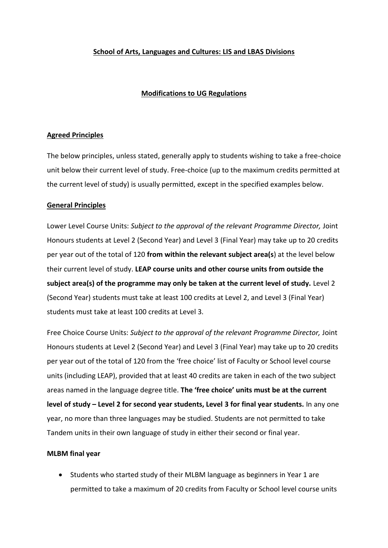# **School of Arts, Languages and Cultures: LIS and LBAS Divisions**

# **Modifications to UG Regulations**

### **Agreed Principles**

The below principles, unless stated, generally apply to students wishing to take a free-choice unit below their current level of study. Free-choice (up to the maximum credits permitted at the current level of study) is usually permitted, except in the specified examples below.

## **General Principles**

Lower Level Course Units: *Subject to the approval of the relevant Programme Director,* Joint Honours students at Level 2 (Second Year) and Level 3 (Final Year) may take up to 20 credits per year out of the total of 120 **from within the relevant subject area(s**) at the level below their current level of study. **LEAP course units and other course units from outside the subject area(s) of the programme may only be taken at the current level of study.** Level 2 (Second Year) students must take at least 100 credits at Level 2, and Level 3 (Final Year) students must take at least 100 credits at Level 3.

Free Choice Course Units: *Subject to the approval of the relevant Programme Director,* Joint Honours students at Level 2 (Second Year) and Level 3 (Final Year) may take up to 20 credits per year out of the total of 120 from the 'free choice' list of Faculty or School level course units (including LEAP), provided that at least 40 credits are taken in each of the two subject areas named in the language degree title. **The 'free choice' units must be at the current level of study – Level 2 for second year students, Level 3 for final year students.** In any one year, no more than three languages may be studied. Students are not permitted to take Tandem units in their own language of study in either their second or final year.

### **MLBM final year**

 Students who started study of their MLBM language as beginners in Year 1 are permitted to take a maximum of 20 credits from Faculty or School level course units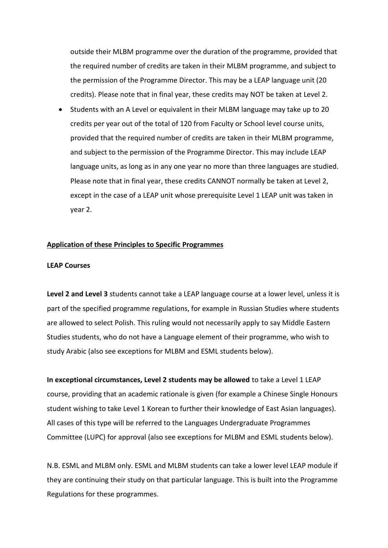outside their MLBM programme over the duration of the programme, provided that the required number of credits are taken in their MLBM programme, and subject to the permission of the Programme Director. This may be a LEAP language unit (20 credits). Please note that in final year, these credits may NOT be taken at Level 2.

 Students with an A Level or equivalent in their MLBM language may take up to 20 credits per year out of the total of 120 from Faculty or School level course units, provided that the required number of credits are taken in their MLBM programme, and subject to the permission of the Programme Director. This may include LEAP language units, as long as in any one year no more than three languages are studied. Please note that in final year, these credits CANNOT normally be taken at Level 2, except in the case of a LEAP unit whose prerequisite Level 1 LEAP unit was taken in year 2.

#### **Application of these Principles to Specific Programmes**

#### **LEAP Courses**

**Level 2 and Level 3** students cannot take a LEAP language course at a lower level, unless it is part of the specified programme regulations, for example in Russian Studies where students are allowed to select Polish. This ruling would not necessarily apply to say Middle Eastern Studies students, who do not have a Language element of their programme, who wish to study Arabic (also see exceptions for MLBM and ESML students below).

**In exceptional circumstances, Level 2 students may be allowed** to take a Level 1 LEAP course, providing that an academic rationale is given (for example a Chinese Single Honours student wishing to take Level 1 Korean to further their knowledge of East Asian languages). All cases of this type will be referred to the Languages Undergraduate Programmes Committee (LUPC) for approval (also see exceptions for MLBM and ESML students below).

N.B. ESML and MLBM only. ESML and MLBM students can take a lower level LEAP module if they are continuing their study on that particular language. This is built into the Programme Regulations for these programmes.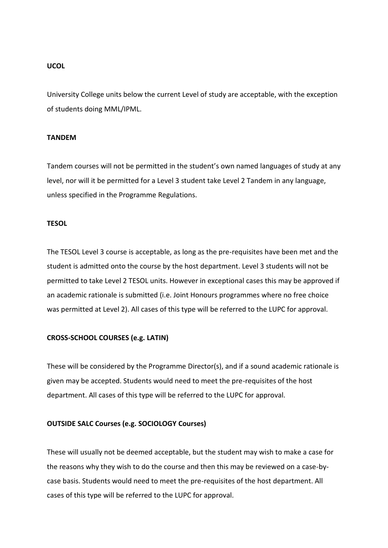#### **UCOL**

University College units below the current Level of study are acceptable, with the exception of students doing MML/IPML.

### **TANDEM**

Tandem courses will not be permitted in the student's own named languages of study at any level, nor will it be permitted for a Level 3 student take Level 2 Tandem in any language, unless specified in the Programme Regulations.

### **TESOL**

The TESOL Level 3 course is acceptable, as long as the pre-requisites have been met and the student is admitted onto the course by the host department. Level 3 students will not be permitted to take Level 2 TESOL units. However in exceptional cases this may be approved if an academic rationale is submitted (i.e. Joint Honours programmes where no free choice was permitted at Level 2). All cases of this type will be referred to the LUPC for approval.

### **CROSS-SCHOOL COURSES (e.g. LATIN)**

These will be considered by the Programme Director(s), and if a sound academic rationale is given may be accepted. Students would need to meet the pre-requisites of the host department. All cases of this type will be referred to the LUPC for approval.

### **OUTSIDE SALC Courses (e.g. SOCIOLOGY Courses)**

These will usually not be deemed acceptable, but the student may wish to make a case for the reasons why they wish to do the course and then this may be reviewed on a case-bycase basis. Students would need to meet the pre-requisites of the host department. All cases of this type will be referred to the LUPC for approval.